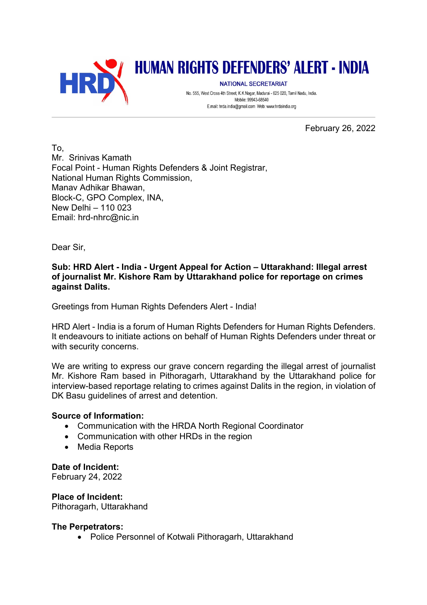

# **HUMAN RIGHTS DEFENDERS' ALERT - INDIA**

**NATIONAL SECRETARIAT** No. 555, West Cross 4th Street, K.K.Nagar, Madurai - 625 020, Tamil Nadu, India. Mobile: 99943-68540 E.mail: hrda.india@gmail.com Web: www.hrdaindia.org

February 26, 2022

To, Mr. Srinivas Kamath Focal Point - Human Rights Defenders & Joint Registrar, National Human Rights Commission, Manav Adhikar Bhawan, Block-C, GPO Complex, INA, New Delhi – 110 023 Email: hrd-nhrc@nic.in

Dear Sir,

## **Sub: HRD Alert - India - Urgent Appeal for Action – Uttarakhand: Illegal arrest of journalist Mr. Kishore Ram by Uttarakhand police for reportage on crimes against Dalits.**

Greetings from Human Rights Defenders Alert - India!

HRD Alert - India is a forum of Human Rights Defenders for Human Rights Defenders. It endeavours to initiate actions on behalf of Human Rights Defenders under threat or with security concerns.

We are writing to express our grave concern regarding the illegal arrest of journalist Mr. Kishore Ram based in Pithoragarh, Uttarakhand by the Uttarakhand police for interview-based reportage relating to crimes against Dalits in the region, in violation of DK Basu guidelines of arrest and detention.

## **Source of Information:**

- Communication with the HRDA North Regional Coordinator
- Communication with other HRDs in the region
- Media Reports

#### **Date of Incident:**

February 24, 2022

**Place of Incident:** Pithoragarh, Uttarakhand

## **The Perpetrators:**

• Police Personnel of Kotwali Pithoragarh, Uttarakhand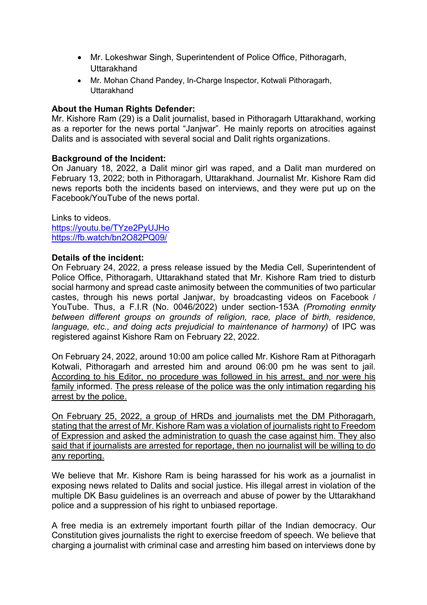- Mr. Lokeshwar Singh, Superintendent of Police Office, Pithoragarh, **Uttarakhand**
- Mr. Mohan Chand Pandey, In-Charge Inspector, Kotwali Pithoragarh, **Uttarakhand**

## **About the Human Rights Defender:**

Mr. Kishore Ram (29) is a Dalit journalist, based in Pithoragarh Uttarakhand, working as a reporter for the news portal "Janjwar". He mainly reports on atrocities against Dalits and is associated with several social and Dalit rights organizations.

#### **Background of the Incident:**

On January 18, 2022, a Dalit minor girl was raped, and a Dalit man murdered on February 13, 2022; both in Pithoragarh, Uttarakhand. Journalist Mr. Kishore Ram did news reports both the incidents based on interviews, and they were put up on the Facebook/YouTube of the news portal.

Links to videos. https://youtu.be/TYze2PyUJHo https://fb.watch/bn2O82PQ09/

#### **Details of the incident:**

On February 24, 2022, a press release issued by the Media Cell, Superintendent of Police Office, Pithoragarh, Uttarakhand stated that Mr. Kishore Ram tried to disturb social harmony and spread caste animosity between the communities of two particular castes, through his news portal Janjwar, by broadcasting videos on Facebook / YouTube. Thus, a F.I.R (No. 0046/2022) under section-153A *(Promoting enmity between different groups on grounds of religion, race, place of birth, residence, language, etc., and doing acts prejudicial to maintenance of harmony)* of IPC was registered against Kishore Ram on February 22, 2022.

On February 24, 2022, around 10:00 am police called Mr. Kishore Ram at Pithoragarh Kotwali, Pithoragarh and arrested him and around 06:00 pm he was sent to jail. According to his Editor, no procedure was followed in his arrest, and nor were his family informed. The press release of the police was the only intimation regarding his arrest by the police.

On February 25, 2022, a group of HRDs and journalists met the DM Pithoragarh, stating that the arrest of Mr. Kishore Ram was a violation of journalists right to Freedom of Expression and asked the administration to quash the case against him. They also said that if journalists are arrested for reportage, then no journalist will be willing to do any reporting.

We believe that Mr. Kishore Ram is being harassed for his work as a journalist in exposing news related to Dalits and social justice. His illegal arrest in violation of the multiple DK Basu guidelines is an overreach and abuse of power by the Uttarakhand police and a suppression of his right to unbiased reportage.

A free media is an extremely important fourth pillar of the Indian democracy. Our Constitution gives journalists the right to exercise freedom of speech. We believe that charging a journalist with criminal case and arresting him based on interviews done by